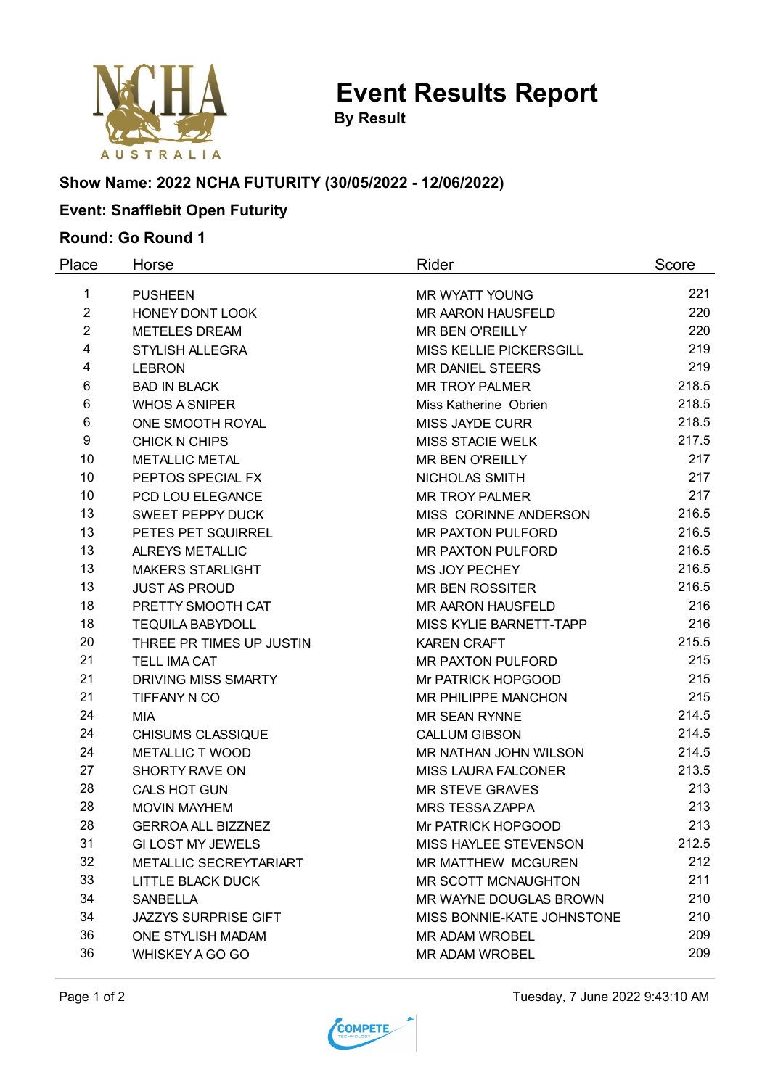

**Event Results Report**

**By Result**

# **Show Name: 2022 NCHA FUTURITY (30/05/2022 - 12/06/2022)**

# **Event: Snafflebit Open Futurity**

### **Round: Go Round 1**

| Place          | Horse                       | Rider                      | Score |
|----------------|-----------------------------|----------------------------|-------|
| 1              | <b>PUSHEEN</b>              | MR WYATT YOUNG             | 221   |
| $\overline{2}$ | HONEY DONT LOOK             | MR AARON HAUSFELD          | 220   |
| $\overline{2}$ | <b>METELES DREAM</b>        | <b>MR BEN O'REILLY</b>     | 220   |
| 4              | <b>STYLISH ALLEGRA</b>      | MISS KELLIE PICKERSGILL    | 219   |
| 4              | <b>LEBRON</b>               | MR DANIEL STEERS           | 219   |
| 6              | <b>BAD IN BLACK</b>         | <b>MR TROY PALMER</b>      | 218.5 |
| 6              | <b>WHOS A SNIPER</b>        | Miss Katherine Obrien      | 218.5 |
| 6              | ONE SMOOTH ROYAL            | <b>MISS JAYDE CURR</b>     | 218.5 |
| 9              | <b>CHICK N CHIPS</b>        | <b>MISS STACIE WELK</b>    | 217.5 |
| 10             | METALLIC METAL              | <b>MR BEN O'REILLY</b>     | 217   |
| 10             | PEPTOS SPECIAL FX           | NICHOLAS SMITH             | 217   |
| 10             | PCD LOU ELEGANCE            | <b>MR TROY PALMER</b>      | 217   |
| 13             | <b>SWEET PEPPY DUCK</b>     | MISS CORINNE ANDERSON      | 216.5 |
| 13             | PETES PET SQUIRREL          | <b>MR PAXTON PULFORD</b>   | 216.5 |
| 13             | <b>ALREYS METALLIC</b>      | <b>MR PAXTON PULFORD</b>   | 216.5 |
| 13             | MAKERS STARLIGHT            | MS JOY PECHEY              | 216.5 |
| 13             | <b>JUST AS PROUD</b>        | <b>MR BEN ROSSITER</b>     | 216.5 |
| 18             | PRETTY SMOOTH CAT           | MR AARON HAUSFELD          | 216   |
| 18             | <b>TEQUILA BABYDOLL</b>     | MISS KYLIE BARNETT-TAPP    | 216   |
| 20             | THREE PR TIMES UP JUSTIN    | <b>KAREN CRAFT</b>         | 215.5 |
| 21             | <b>TELL IMA CAT</b>         | MR PAXTON PULFORD          | 215   |
| 21             | <b>DRIVING MISS SMARTY</b>  | Mr PATRICK HOPGOOD         | 215   |
| 21             | TIFFANY N CO                | MR PHILIPPE MANCHON        | 215   |
| 24             | <b>MIA</b>                  | <b>MR SEAN RYNNE</b>       | 214.5 |
| 24             | <b>CHISUMS CLASSIQUE</b>    | <b>CALLUM GIBSON</b>       | 214.5 |
| 24             | <b>METALLIC T WOOD</b>      | MR NATHAN JOHN WILSON      | 214.5 |
| 27             | SHORTY RAVE ON              | MISS LAURA FALCONER        | 213.5 |
| 28             | CALS HOT GUN                | <b>MR STEVE GRAVES</b>     | 213   |
| 28             | <b>MOVIN MAYHEM</b>         | <b>MRS TESSA ZAPPA</b>     | 213   |
| 28             | <b>GERROA ALL BIZZNEZ</b>   | Mr PATRICK HOPGOOD         | 213   |
| 31             | <b>GI LOST MY JEWELS</b>    | MISS HAYLEE STEVENSON      | 212.5 |
| 32             | METALLIC SECREYTARIART      | <b>MR MATTHEW MCGUREN</b>  | 212   |
| 33             | LITTLE BLACK DUCK           | MR SCOTT MCNAUGHTON        | 211   |
| 34             | <b>SANBELLA</b>             | MR WAYNE DOUGLAS BROWN     | 210   |
| 34             | <b>JAZZYS SURPRISE GIFT</b> | MISS BONNIE-KATE JOHNSTONE | 210   |
| 36             | ONE STYLISH MADAM           | <b>MR ADAM WROBEL</b>      | 209   |
| 36             | WHISKEY A GO GO             | <b>MR ADAM WROBEL</b>      | 209   |